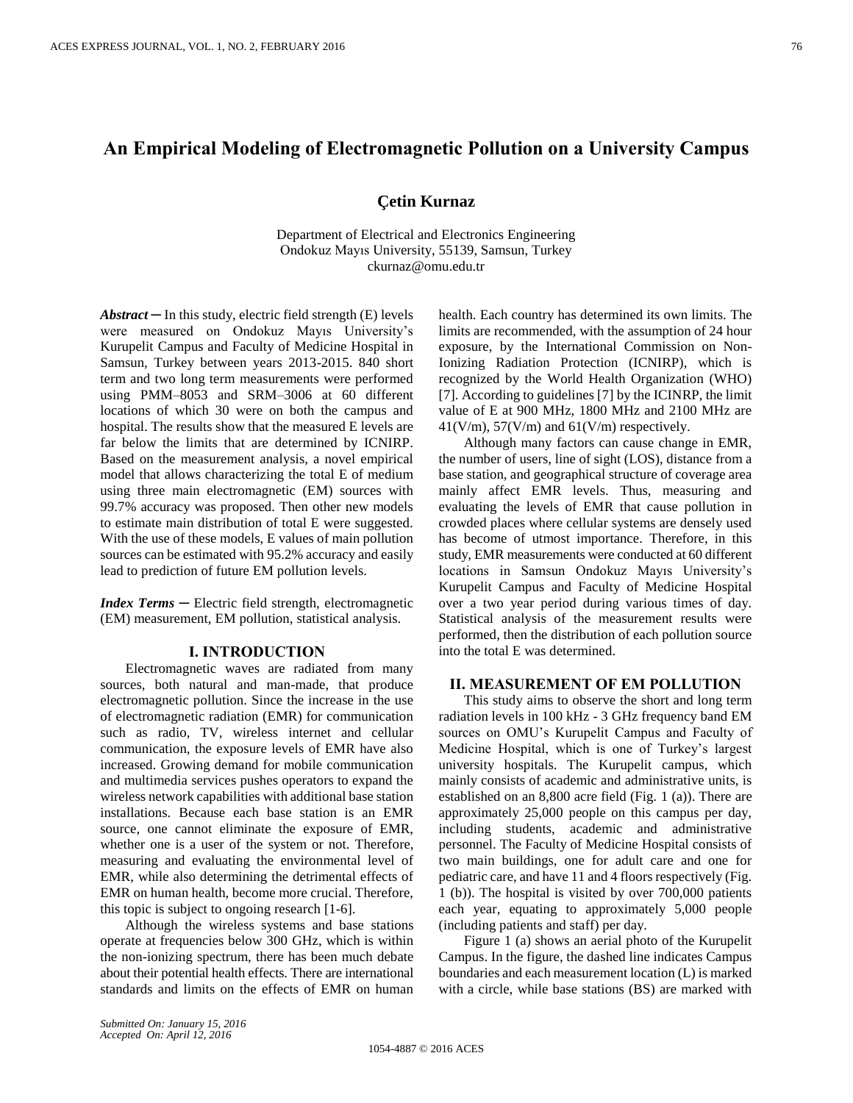# **An Empirical Modeling of Electromagnetic Pollution on a University Campus**

## **Çetin Kurnaz**

Department of Electrical and Electronics Engineering Ondokuz Mayıs University, 55139, Samsun, Turkey ckurnaz@omu.edu.tr

 $Abstract - In this study, electric field strength (E) levels$ were measured on Ondokuz Mayıs University's Kurupelit Campus and Faculty of Medicine Hospital in Samsun, Turkey between years 2013-2015. 840 short term and two long term measurements were performed using PMM–8053 and SRM–3006 at 60 different locations of which 30 were on both the campus and hospital. The results show that the measured E levels are far below the limits that are determined by ICNIRP. Based on the measurement analysis, a novel empirical model that allows characterizing the total E of medium using three main electromagnetic (EM) sources with 99.7% accuracy was proposed. Then other new models to estimate main distribution of total E were suggested. With the use of these models, E values of main pollution sources can be estimated with 95.2% accuracy and easily lead to prediction of future EM pollution levels.

*Index Terms* ─ Electric field strength, electromagnetic (EM) measurement, EM pollution, statistical analysis.

#### **I. INTRODUCTION**

Electromagnetic waves are radiated from many sources, both natural and man-made, that produce electromagnetic pollution. Since the increase in the use of electromagnetic radiation (EMR) for communication such as radio, TV, wireless internet and cellular communication, the exposure levels of EMR have also increased. Growing demand for mobile communication and multimedia services pushes operators to expand the wireless network capabilities with additional base station installations. Because each base station is an EMR source, one cannot eliminate the exposure of EMR, whether one is a user of the system or not. Therefore, measuring and evaluating the environmental level of EMR, while also determining the detrimental effects of EMR on human health, become more crucial. Therefore, this topic is subject to ongoing research [1-6].

Although the wireless systems and base stations operate at frequencies below 300 GHz, which is within the non-ionizing spectrum, there has been much debate about their potential health effects. There are international standards and limits on the effects of EMR on human health. Each country has determined its own limits. The limits are recommended, with the assumption of 24 hour exposure, by the International Commission on Non-Ionizing Radiation Protection (ICNIRP), which is recognized by the World Health Organization (WHO) [7]. According to guidelines [7] by the ICINRP, the limit value of E at 900 MHz, 1800 MHz and 2100 MHz are  $41(V/m)$ ,  $57(V/m)$  and  $61(V/m)$  respectively.

Although many factors can cause change in EMR, the number of users, line of sight (LOS), distance from a base station, and geographical structure of coverage area mainly affect EMR levels. Thus, measuring and evaluating the levels of EMR that cause pollution in crowded places where cellular systems are densely used has become of utmost importance. Therefore, in this study, EMR measurements were conducted at 60 different locations in Samsun Ondokuz Mayıs University's Kurupelit Campus and Faculty of Medicine Hospital over a two year period during various times of day. Statistical analysis of the measurement results were performed, then the distribution of each pollution source into the total E was determined.

## **II. MEASUREMENT OF EM POLLUTION**

This study aims to observe the short and long term radiation levels in 100 kHz - 3 GHz frequency band EM sources on OMU's Kurupelit Campus and Faculty of Medicine Hospital, which is one of Turkey's largest university hospitals. The Kurupelit campus, which mainly consists of academic and administrative units, is established on an 8,800 acre field (Fig. 1 (a)). There are approximately 25,000 people on this campus per day, including students, academic and administrative personnel. The Faculty of Medicine Hospital consists of two main buildings, one for adult care and one for pediatric care, and have 11 and 4 floors respectively (Fig. 1 (b)). The hospital is visited by over 700,000 patients each year, equating to approximately 5,000 people (including patients and staff) per day.

Figure 1 (a) shows an aerial photo of the Kurupelit Campus. In the figure, the dashed line indicates Campus boundaries and each measurement location (L) is marked with a circle, while base stations (BS) are marked with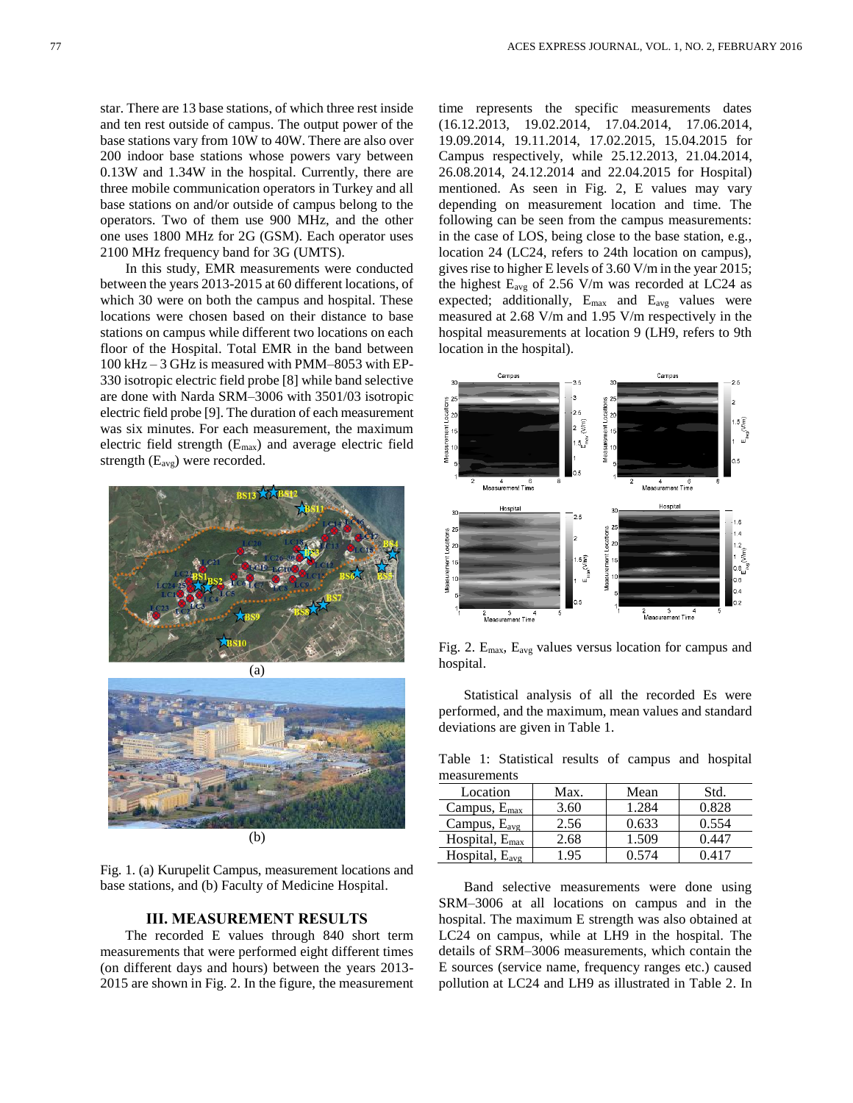star. There are 13 base stations, of which three rest inside and ten rest outside of campus. The output power of the base stations vary from 10W to 40W. There are also over 200 indoor base stations whose powers vary between 0.13W and 1.34W in the hospital. Currently, there are three mobile communication operators in Turkey and all base stations on and/or outside of campus belong to the operators. Two of them use 900 MHz, and the other one uses 1800 MHz for 2G (GSM). Each operator uses 2100 MHz frequency band for 3G (UMTS).

In this study, EMR measurements were conducted between the years 2013-2015 at 60 different locations, of which 30 were on both the campus and hospital. These locations were chosen based on their distance to base stations on campus while different two locations on each floor of the Hospital. Total EMR in the band between 100 kHz – 3 GHz is measured with PMM–8053 with EP-330 isotropic electric field probe [8] while band selective are done with Narda SRM–3006 with 3501/03 isotropic electric field probe [9]. The duration of each measurement was six minutes. For each measurement, the maximum electric field strength (Emax) and average electric field strength (Eavg) were recorded.





Fig. 1. (a) Kurupelit Campus, measurement locations and base stations, and (b) Faculty of Medicine Hospital.

# **III. MEASUREMENT RESULTS**

The recorded E values through 840 short term measurements that were performed eight different times (on different days and hours) between the years 2013- 2015 are shown in Fig. 2. In the figure, the measurement time represents the specific measurements dates (16.12.2013, 19.02.2014, 17.04.2014, 17.06.2014, 19.09.2014, 19.11.2014, 17.02.2015, 15.04.2015 for Campus respectively, while 25.12.2013, 21.04.2014, 26.08.2014, 24.12.2014 and 22.04.2015 for Hospital) mentioned. As seen in Fig. 2, E values may vary depending on measurement location and time. The following can be seen from the campus measurements: in the case of LOS, being close to the base station, e.g., location 24 (LC24, refers to 24th location on campus), gives rise to higher E levels of 3.60 V/m in the year 2015; the highest  $E_{avg}$  of 2.56 V/m was recorded at LC24 as expected; additionally,  $E_{\text{max}}$  and  $E_{\text{avg}}$  values were measured at 2.68 V/m and 1.95 V/m respectively in the hospital measurements at location 9 (LH9, refers to 9th location in the hospital).



Fig. 2. Emax, Eavg values versus location for campus and hospital.

Statistical analysis of all the recorded Es were performed, and the maximum, mean values and standard deviations are given in Table 1.

Table 1: Statistical results of campus and hospital measurements

| Location                   | Max. | Mean  | Std.       |
|----------------------------|------|-------|------------|
| Campus, $E_{\text{max}}$   | 3.60 | 1.284 | 0.828      |
| Campus, $E_{\text{avg}}$   | 2.56 | 0.633 | 0.554      |
| Hospital, $E_{\text{max}}$ | 2.68 | 1.509 | $0.44^{-}$ |
| Hospital, $E_{\text{avg}}$ | -95  | ገ 574 |            |

Band selective measurements were done using SRM–3006 at all locations on campus and in the hospital. The maximum E strength was also obtained at LC24 on campus, while at LH9 in the hospital. The details of SRM–3006 measurements, which contain the E sources (service name, frequency ranges etc.) caused pollution at LC24 and LH9 as illustrated in Table 2. In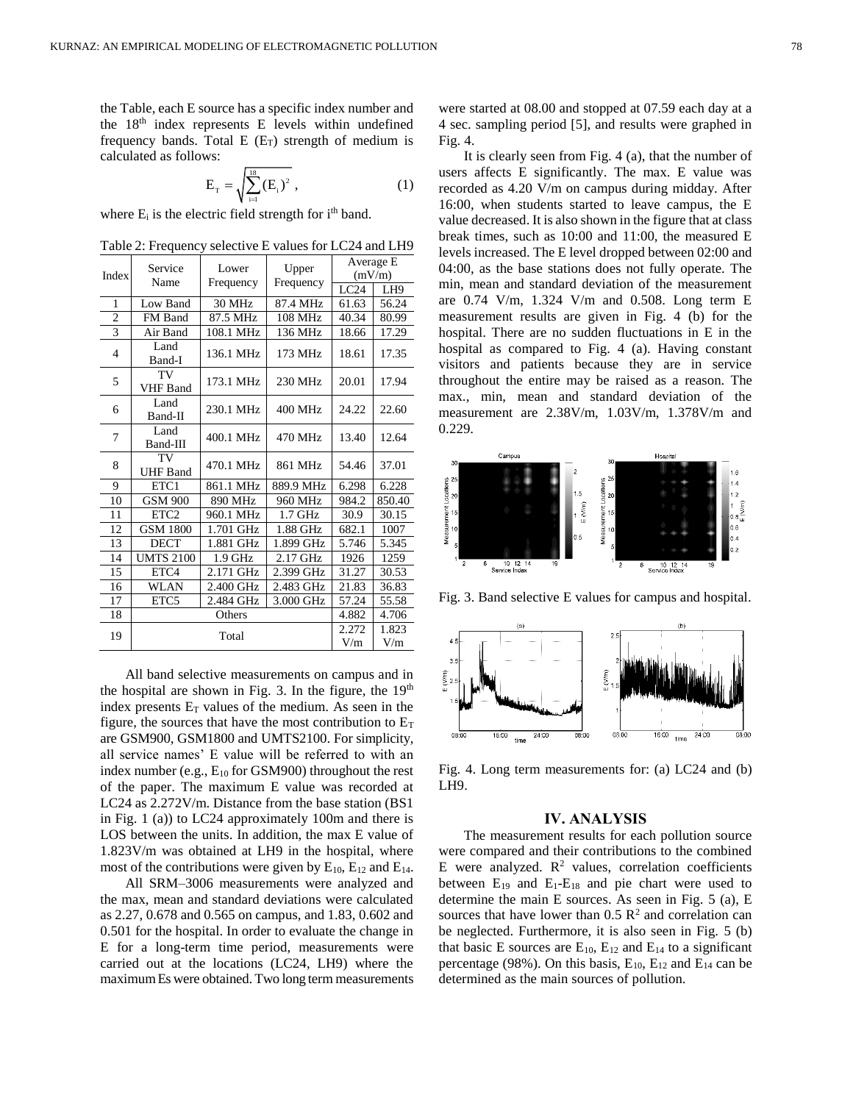the Table, each E source has a specific index number and the  $18<sup>th</sup>$  index represents E levels within undefined frequency bands. Total  $E(E_T)$  strength of medium is calculated as follows:

$$
E_{\rm T} = \sqrt{\sum_{i=1}^{18} (E_{\rm i})^2} , \qquad (1)
$$

where  $E_i$  is the electric field strength for  $i<sup>th</sup>$  band.

Table 2: Frequency selective E values for LC24 and LH9

| Index          | Service<br>Name       | Lower<br>Frequency | Upper<br>Frequency | Average E    |                 |
|----------------|-----------------------|--------------------|--------------------|--------------|-----------------|
|                |                       |                    |                    | (mV/m)       |                 |
|                |                       |                    |                    | LC24         | LH <sub>9</sub> |
| 1              | Low Band              | 30 MHz             | 87.4 MHz           | 61.63        | 56.24           |
| $\overline{2}$ | FM Band               | 87.5 MHz           | 108 MHz            | 40.34        | 80.99           |
| $\overline{3}$ | Air Band              | 108.1 MHz          | 136 MHz            | 18.66        | 17.29           |
| $\overline{4}$ | Land<br>Band-I        | 136.1 MHz          | 173 MHz            | 18.61        | 17.35           |
| 5              | TV<br><b>VHF</b> Band | 173.1 MHz          | 230 MHz            | 20.01        | 17.94           |
| 6              | Land<br>Band-II       | 230.1 MHz          | 400 MHz            | 24.22        | 22.60           |
| 7              | Land<br>Band-III      | 400.1 MHz          | 470 MHz            | 13.40        | 12.64           |
| 8              | TV<br><b>UHF</b> Band | 470.1 MHz          | 861 MHz            | 54.46        | 37.01           |
| 9              | ETC <sub>1</sub>      | 861.1 MHz          | 889.9 MHz          | 6.298        | 6.228           |
| 10             | <b>GSM 900</b>        | 890 MHz            | 960 MHz            | 984.2        | 850.40          |
| 11             | ETC <sub>2</sub>      | 960.1 MHz          | $1.7$ GHz          | 30.9         | 30.15           |
| 12             | <b>GSM 1800</b>       | 1.701 GHz          | 1.88 GHz           | 682.1        | 1007            |
| 13             | <b>DECT</b>           | 1.881 GHz          | 1.899 GHz          | 5.746        | 5.345           |
| 14             | <b>UMTS 2100</b>      | $1.9$ GHz          | 2.17 GHz           | 1926         | 1259            |
| 15             | ETC4                  | 2.171 GHz          | 2.399 GHz          | 31.27        | 30.53           |
| 16             | <b>WLAN</b>           | 2.400 GHz          | 2.483 GHz          | 21.83        | 36.83           |
| 17             | ETC <sub>5</sub>      | 2.484 GHz          | 3.000 GHz          | 57.24        | 55.58           |
| 18             | Others                |                    |                    | 4.882        | 4.706           |
| 19             | Total                 |                    |                    | 2.272<br>V/m | 1.823<br>V/m    |

All band selective measurements on campus and in the hospital are shown in Fig. 3. In the figure, the  $19<sup>th</sup>$ index presents  $E_T$  values of the medium. As seen in the figure, the sources that have the most contribution to  $E_T$ are GSM900, GSM1800 and UMTS2100. For simplicity, all service names' E value will be referred to with an index number (e.g.,  $E_{10}$  for GSM900) throughout the rest of the paper. The maximum E value was recorded at LC24 as 2.272V/m. Distance from the base station (BS1 in Fig. 1 (a)) to LC24 approximately 100m and there is LOS between the units. In addition, the max E value of 1.823V/m was obtained at LH9 in the hospital, where most of the contributions were given by  $E_{10}$ ,  $E_{12}$  and  $E_{14}$ .

All SRM–3006 measurements were analyzed and the max, mean and standard deviations were calculated as 2.27, 0.678 and 0.565 on campus, and 1.83, 0.602 and 0.501 for the hospital. In order to evaluate the change in E for a long-term time period, measurements were carried out at the locations (LC24, LH9) where the maximum Es were obtained. Two long term measurements were started at 08.00 and stopped at 07.59 each day at a 4 sec. sampling period [5], and results were graphed in Fig. 4.

It is clearly seen from Fig. 4 (a), that the number of users affects E significantly. The max. E value was recorded as 4.20 V/m on campus during midday. After 16:00, when students started to leave campus, the E value decreased. It is also shown in the figure that at class break times, such as 10:00 and 11:00, the measured E levels increased. The E level dropped between 02:00 and 04:00, as the base stations does not fully operate. The min, mean and standard deviation of the measurement are 0.74 V/m, 1.324 V/m and 0.508. Long term E measurement results are given in Fig. 4 (b) for the hospital. There are no sudden fluctuations in E in the hospital as compared to Fig. 4 (a). Having constant visitors and patients because they are in service throughout the entire may be raised as a reason. The max., min, mean and standard deviation of the measurement are 2.38V/m, 1.03V/m, 1.378V/m and 0.229.



Fig. 3. Band selective E values for campus and hospital.



Fig. 4. Long term measurements for: (a) LC24 and (b) LH9.

#### **IV. ANALYSIS**

The measurement results for each pollution source were compared and their contributions to the combined E were analyzed.  $\mathbb{R}^2$  values, correlation coefficients between  $E_{19}$  and  $E_{1}-E_{18}$  and pie chart were used to determine the main E sources. As seen in Fig. 5 (a), E sources that have lower than  $0.5 \mathbb{R}^2$  and correlation can be neglected. Furthermore, it is also seen in Fig. 5 (b) that basic E sources are  $E_{10}$ ,  $E_{12}$  and  $E_{14}$  to a significant percentage (98%). On this basis,  $E_{10}$ ,  $E_{12}$  and  $E_{14}$  can be determined as the main sources of pollution.